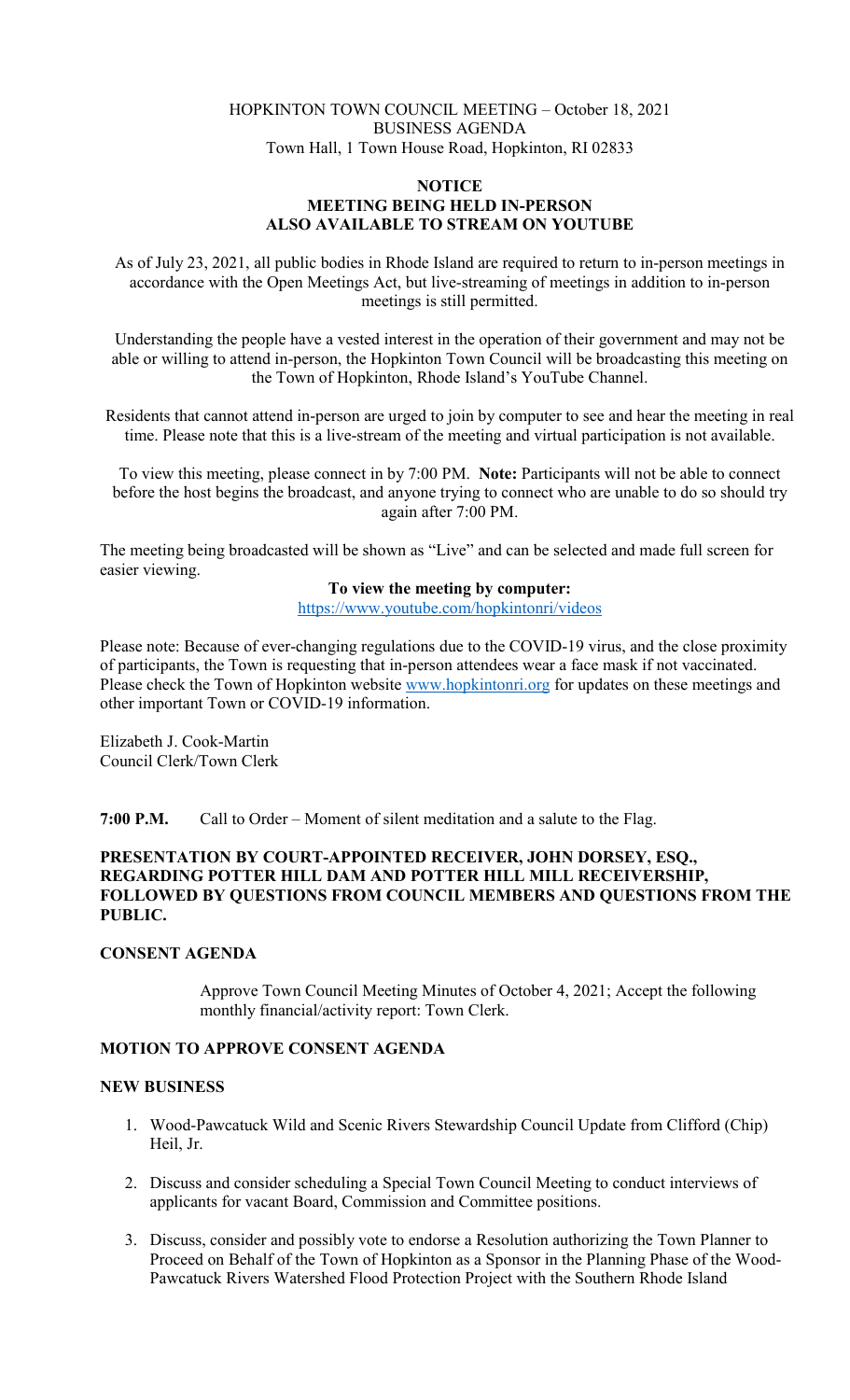## HOPKINTON TOWN COUNCIL MEETING – October 18, 2021 BUSINESS AGENDA Town Hall, 1 Town House Road, Hopkinton, RI 02833

### **NOTICE MEETING BEING HELD IN-PERSON ALSO AVAILABLE TO STREAM ON YOUTUBE**

As of July 23, 2021, all public bodies in Rhode Island are required to return to in-person meetings in accordance with the Open Meetings Act, but live-streaming of meetings in addition to in-person meetings is still permitted.

Understanding the people have a vested interest in the operation of their government and may not be able or willing to attend in-person, the Hopkinton Town Council will be broadcasting this meeting on the Town of Hopkinton, Rhode Island's YouTube Channel.

Residents that cannot attend in-person are urged to join by computer to see and hear the meeting in real time. Please note that this is a live-stream of the meeting and virtual participation is not available.

To view this meeting, please connect in by 7:00 PM. **Note:** Participants will not be able to connect before the host begins the broadcast, and anyone trying to connect who are unable to do so should try again after 7:00 PM.

The meeting being broadcasted will be shown as "Live" and can be selected and made full screen for easier viewing.

## **To view the meeting by computer:**

<https://www.youtube.com/hopkintonri/videos>

Please note: Because of ever-changing regulations due to the COVID-19 virus, and the close proximity of participants, the Town is requesting that in-person attendees wear a face mask if not vaccinated. Please check the Town of Hopkinton website [www.hopkintonri.org](http://www.hopkintonri.org/) for updates on these meetings and other important Town or COVID-19 information.

Elizabeth J. Cook-Martin Council Clerk/Town Clerk

**7:00 P.M.** Call to Order – Moment of silent meditation and a salute to the Flag.

## **PRESENTATION BY COURT-APPOINTED RECEIVER, JOHN DORSEY, ESQ., REGARDING POTTER HILL DAM AND POTTER HILL MILL RECEIVERSHIP, FOLLOWED BY QUESTIONS FROM COUNCIL MEMBERS AND QUESTIONS FROM THE PUBLIC.**

## **CONSENT AGENDA**

Approve Town Council Meeting Minutes of October 4, 2021; Accept the following monthly financial/activity report: Town Clerk.

# **MOTION TO APPROVE CONSENT AGENDA**

#### **NEW BUSINESS**

- 1. Wood-Pawcatuck Wild and Scenic Rivers Stewardship Council Update from Clifford (Chip) Heil, Jr.
- 2. Discuss and consider scheduling a Special Town Council Meeting to conduct interviews of applicants for vacant Board, Commission and Committee positions.
- 3. Discuss, consider and possibly vote to endorse a Resolution authorizing the Town Planner to Proceed on Behalf of the Town of Hopkinton as a Sponsor in the Planning Phase of the Wood-Pawcatuck Rivers Watershed Flood Protection Project with the Southern Rhode Island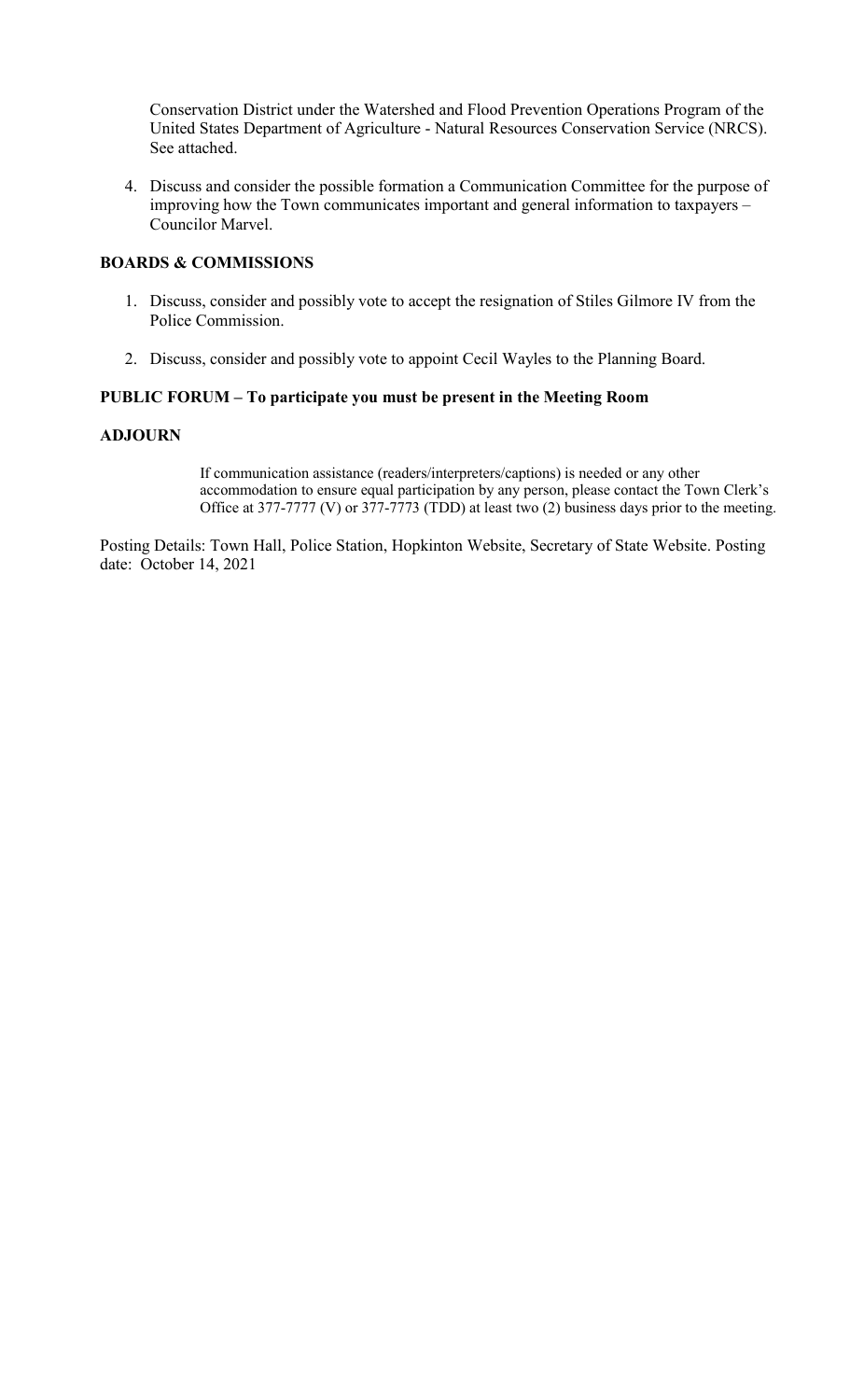Conservation District under the Watershed and Flood Prevention Operations Program of the United States Department of Agriculture - Natural Resources Conservation Service (NRCS). See attached.

4. Discuss and consider the possible formation a Communication Committee for the purpose of improving how the Town communicates important and general information to taxpayers – Councilor Marvel.

## **BOARDS & COMMISSIONS**

- 1. Discuss, consider and possibly vote to accept the resignation of Stiles Gilmore IV from the Police Commission.
- 2. Discuss, consider and possibly vote to appoint Cecil Wayles to the Planning Board.

#### **PUBLIC FORUM – To participate you must be present in the Meeting Room**

#### **ADJOURN**

If communication assistance (readers/interpreters/captions) is needed or any other accommodation to ensure equal participation by any person, please contact the Town Clerk's Office at 377-7777 (V) or 377-7773 (TDD) at least two (2) business days prior to the meeting.

Posting Details: Town Hall, Police Station, Hopkinton Website, Secretary of State Website. Posting date: October 14, 2021